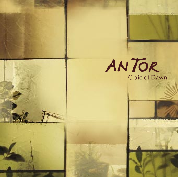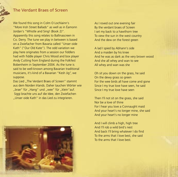# The Verdant Braes of Screen

We found this song in Colm O Lochlainn's "More Irish Street Ballads" as well as in Éamonn Jordan's "Whistle and Sing! (Book 2)". Apparently this song relates to Ballinascreen in Co. Derry. The tune we play in between is based on a Zwiefacher from Bavaria called "Unser oide Kath" ("Our Old Kate"). The odd variation we play here originates from a session our fiddlers had with fiddle player Chris Wood and box player Andy Cutting from England during the Folkfest Bobenheim in September 2004. As the tune is said to be well-known among Bavarian traditional musicians, it's kind of a Bavarian "Kesh Jig", we suppose.

Das Lied "The Verdant Braes of Screen" stammt aus dem Norden Irlands. Daher tauchen Wörter wie "brae" für "Hang" und "wee" für "klein"auf. Siggi brachte uns auf die Idee, den Zwiefachen "Unser oide Kath" in das Lied zu integrieren.

As I roved out one evening fair By the verdant braes of Screen I set my back to a hawthorn tree To view the sun in the west country And the dew on the forest green

A lad I spied by Abhann's side And a maiden by his knee And he was as dark as the very brown wood And she all whey and wan to see All whey and wan was she

Oh sit you down on the grass, he said On the dewy grass so green For the wee birds all have come and gone Since I my true love have seen, he said Since I my true love have seen

Then I'll not sit on the grass, she said Nor be a love of thine For I hear you love a Connaught maid And your heart's no longer mine, she said And your heart's no longer mine

And I will climb a high, high tree And I'll rob a wild bird's nest And back I'll bring whatever I do find To the arms that I love best, she said To the arms that I love best.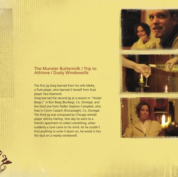#### The Munster Buttermilk / Trip to Athlone / Dusty Windowsills

The first jig Greg learned from his wife Meike, a flute player, who learned it herself from flute player Tara Diamond.

Greg learned the second jig at a session in "Hiúdaí Beag's" in Bun Beag (Bunbeg), Co. Donegal, and the third one from fiddler Stephen Campbell, who lives in Cionn Caslach (Kincasslagh), Co. Donegal. The third jig was composed by Chicago whistle player Johnny Harling. One day he went to a friend's apartment to collect something, when suddenly a tune came to his mind. As he couldn't find anything to write it down on, he wrote it into the dust on a nearby windowsill.

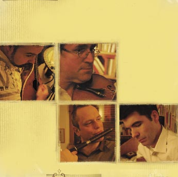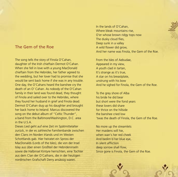### The Gem of the Roe

The song tells the story of Finola O'Cahan, daughter of the Irish chieftain Dermot O'Cahan. When she fell in love with a young MacDonald chieftain from the Hebrides, her father agreed to the wedding, but her lover had to promise that she would be sent back home if she was in any trouble. One day, the O'Cahans heard the banshee cry the death of an O' Cahan. As nobody of the O'Cahan family in their land was found dead, they thought of Finola and sailed over to the Hebrides, where they found her husband in grief and Finola dead. Dermot O'Cahan dug up his daughter and brought her back home to Ireland. Marcus discovered the song on the debut album of "Celtic Thunder", a band from the Baltimore/Washington, D.C. area in the  $H \subseteq \Delta$ .

Dieses Lied geht auf eine Zeit im Spätmittelalter zurück, in der es zahlreiche Familienbande zwischen den Clans im Norden Irlands und im Westen Schottlands gab. Hier heiratet ein Spross der MacDonalds (Lords of the Isles), die von der Insel Islay aus über einen Großteil der Hebrideninseln sowie die Halbinsel Kintyre herrschten, eine Tochter aus dem Clan der O'Cathans, die in der heutigen nordirischen Grafschaft Derry ansässig waren.

In the lands of O'Cahan, Where bleak mountains rise, O'er whose brown ridgy tops now The dusky cloud flies, Deep sunk in a valley A wild flower did grow, And her name was Finola, the Gem of the Roe.

From the Isles of Aebudae, Appeared in my view, A youth clad in tartan, It's strange as it's true, A star on his breastplate, unstrung with his bow And he sighed for Finola, the Gem of the Roe.

To the grey shore of Alba his bride he did bear but short were the fond years these lovers did share for thrice on the hillside the banshee cried low 'twas the death of Finola, the Gem of the Roe.

No more up the streamlets Her maidens will hie, when wan's her red cheek And bedim'd her blue eye, In silent affliction deep sorrow shall flow, Since gone is Finola, the Gem of the Roe.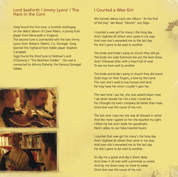### Lord Seaforth / Jimmy Lyons' / The Hare in the Corn

Greg found the first tune, a Scottish strathspey, on the debut album of Claire Mann, a young flute player from Newcastle in England.

The second tune is connected with the late Jimmy Lyons from Teileann (Teelin), Co. Donegal. Greg learned this highland from fiddle player Stephen Campbell.

Siggi found the third tune in Feldman's and O'Doherty's "The Northern Fiddler". The reel is connected to Johnny Doherty, the famous Donegal fiddler.



# I Courted a Wee Girl

Wir kennen dieses Lied vom Album "At the End of the Day" der Band "Dervish" aus Sligo.

I courted a wee girl for many's the long day And I slighted all others who came in my way. And now she's rewarded me to the last day For she's gone to be wed to another.

The bride and bride's party to church they did go. The bride she rode foremost she put the best show. And I followed after with a heart full of woe To see my love wed to another

The bride and bride's party in church they did stand. Gold rings on their fingers, a love by the hand. The man she's wed to has houses and land. He may have her since I couldn't gain her.

The next time I say her, she was seated down neat. I sat down beside her not a bite I could eat. For I thought my love's company far better than meat. Since love was the cause of my ruin.

The last time I saw her she was all dressed in white And the more I gazed on her she dazzled my sight. I lifted my hat and I bade her goodnight, Here's adieu to our false-hearted lovers.

I courted that wee girl for many's the long day And I slighted all others that came in my way. And now she's rewarded me to the last day For she's gone to be wed to another.

So dig me a grave and dig it down deep And strew it all over with a primrose so sweet And lay me down easy no more to weep Since love was the cause of my ruin.

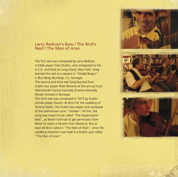# Larry Redican's Bow / The Bird's Nest / The Man of Aran

The first reel was composed by Larry Redican, a fiddle player from Dublin, who emigrated to the U.S.A. and lived on Long Island, New York. Greg learned this reel at a session in "Hiúdaí Beag's" in Bun Beag (Bunbeg), Co. Donegal. The second and third reel Greg learned from Dublin box player Peter Browne at the annual Scoil Gheimhridh Frankie Kennedy (Frankie Kennedy Winter School) in Donegal.

The third reel was composed in 1975 by Dublin whistle player Darach de Brún for the wedding of Tommy Walsh, the Dublin box player and composer of the well-known tune "Inisheer". At first, the song was meant to be called "The Dispensation Reel", as Walsh had had to get permission from Rome to marry a Muslim from Morocco. But at least de Brún called it "The Man of Aran", since the wedding reception was held in a Dublin pub called "The Man of Aran".

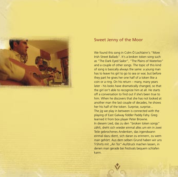

# Sweet Jenny of the Moor

We found this song in Colm Ó Lochlainn's "More Irish Street Ballads". It's a broken token song such as "The Dark Eyed Sailor", "The Plains of Waterloo" and a couple of other songs. The topic of this kind of song is basically always the same: a young man has to leave his girl to go to sea or war, but before they part he gives her one half of a token like a coin or a ring. On his return – many, many years later - his looks have dramatically changed, so that the girl isn't able to recognize him at all. He starts off a conversation to find out if she's been true to him. When he discovers that she has not looked at another man the last couple of decades, he shows her his half of the token. Surprise, surprise... The jig we play in between is connected with the playing of East Galway fiddler Paddy Fahy. Greg learned it from box player Peter Browne. In diesem Lied, das zu den "broken token songs" zählt, dreht sich wieder einmal alles um ein in zwei Teile gebrochenes Andenken, das irgendwann einmal dazu dient, sich daran zu erinnern, zu wem man gehört. Aus dem selben Grund haben wir uns T-Shirts mit "An Tor"-Aufdruck machen lassen, in denen man gerade bei Festivals bequem schlafen kann.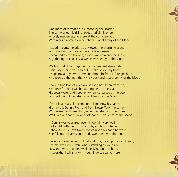One morn of recreation, as I stood by the seaside, The sun was gently rising, bedecked all his pride. A lovely maiden sitting there at the cottage-door, With roses blooming on her cheek, sweet Jenny of the Moor.

I stood in contemplation, as I viewed the charming scene, And filled with admiration as in a fairy dream; Enchanted by the fair one, as she walked along the shore, A gathering of choice sea-weeds was Jenny of the Moor.

We both sat down together by the pleasant shady side, I said, My dear, if you agree, I'll make of you my bride. I've plenty at my own command, brought from a foreign shore, And proud's the man that wins your hand, sweet Jenny of the Moor.

I have a true love of my own, so long he's been from me, And only for him I will be, as long he's to the sea, His vows were fondly spoken when we parted at the door For I will wait till he returns, said Jenny of the Moor.

If your love is a sailor, come on tell me now his name. His name is Dennis Ryan and from Newry Town he came; With roses I will greet him, when he returns to the shore. We'll join our hands in wedlock bands, said Jenny of the Moor.

If Dennis was your true love, I know him very well, he fought with me in Scotland, by a rifle-shot he fell Behold this true-love token, which upon his hand he wore She fell into my arms and cried, sweet Jenny of the Moor.

Since you have proved so kind and true, look up, my girl, I cried, See me; I'm Denis Ryan, who's standing by your side; Now that we are united we'll be living on the shore, I swear that I will stay with you, I'll go to sea no more.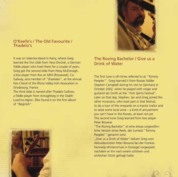### O'Keefe's / The Old Favourite / Thadelo's

It was on Valentia Island in Kerry, where Greg learned the first slide from Vera Orschel, a German fiddle player who lived there for a couple of years. Greg got the second slide from Patsy McDonagh, a box player from Ros an Mhíl (Rossaveal), Co. Galway, and member of "Shaskeen", at the annual Feis Cheoil of the Rhine Valley Irish Assocation in Strasbourg, France.

The third slide is named after Thadelo Sullivan, a fiddle player from Annaghbeg in the Sliabh Luachra region. Elke found it on the first album of "Beginish".





The first tune is oft-times referred to as "Tommy Peoples'". Greg learned it from Rosses fiddler Stephen Campbell during his visit to Germany in October 2002, when he played with singer and guitarist Ian Smith at the "Irish Spirits Festival". Later on that day, Stephen, Ian and Greg joined the other musicians, who took part in that festival, to do a tour of the vineyards on a tractor trailor and to taste some local wine – a kind of amusement you can't have in the Rosses, at least not yet. The second tune Greg learned from box player Peter Browne.

"The Roving Bachelor" ist eine etwas ungewöhnliche Version eines Reels, der zumeist "Tommy Peoples'" genannt wird.

"Give us a Drink of Water" bekam Greg vom Akkordeonisten Peter Browne bei der Frankie-Kennedy-Winterschule in Donegal vorgespielt, nachdem er ihn nach einem schönen und einfachen Stück gefragt hatte.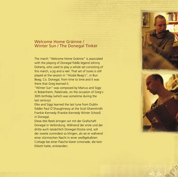### Welcome Home Gráinne / Winter Sun / The Donegal Tinker

The march "Welcome Home Gráinne" is associated with the playing of Donegal fiddle legend Johnny Doherty, who used to play a whole set consisting of this march, a jig and a reel. That set of tunes is still played at the session in "Hiúdaí Beag's", in Bun Beag, Co. Donegal, from time to time and it was there that Greg learned it.

"Winter Sun" was composed by Marcus and Siggi in Bobenheim, Palatinate, on the occasion of Greg's 30th birthday (which was sometime during the last century).

Elke and Siggi learned the last tune from Dublin fiddler Paul O'Shaughnessy at the Scoil Gheimhridh Frankie Kennedy (Frankie Kennedy Winter School) in Donegal.

Diese drei Reels bringen wir mit der Grafschaft Donegal in Verbindung. Während der erste und der dritte auch tatsächlich Donegal-Stücke sind, soll der zweite zumindest so klingen, als sei er während einer stürmischen Nacht in einer weißgekalkten Cottage bei einer Flasche klarer Limonade, die kein Etikett hatte, entstanden.

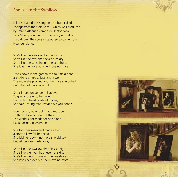# She is like the Swallow

Nils discovered this song on an album called "Songs from the Cold Seas", which was produced by French-Algerian composer Hector Zazou. Jane Siberry, a singer from Toronto, sings it on that album. The song is supposed to come from Newfoundland.

She's like the swallow that flies so high. She's like the river that never runs dry. She's like the sunshine on the Lee shore. She loves her love but she'll love no more.

'Twas down in the garden this fair maid bent a-pickin' a primrose just as she went. The more she plucked and the more she pulled until she got her apron full.

She climbed on yonder hill above, To give a rose unto her love; He has two hearts instead of one, She says, Young man, what have you done?

How foolish, how foolish you must be To think I love no one but thee. The world's not made for one alone, I take delight in everyone.

She took her roses and made a bed a stony pillow for her head. She laid her down, no more she did say but let her roses fade away.

She's like the swallow that flies so high. She's like the river that never runs dry. She's like the sunshine on the Lee shore. She loves her love but she'll love no more.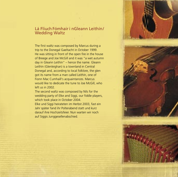# Lá Fliuch Fómhairi nGleann Leithín/ Wedding Waltz

The first waltz was composed by Marcus during a trip to the Donegal Gaeltacht in October 1999. He was sitting in front of the open fire in the house of Breege and Joe McGill and it was "a wet autumn day in Gleann Leithín" – hence the name. Gleann Leithín (Glenleighan) is a townland in Central Donegal and, according to local folklore, the glen got its name from a man called Leithín, one of Fionn Mac Cumhaill's acquaintances. Marcus would like to dedicate the tune to Joe McGill, who left us in 2002.

The second waltz was composed by Nils for the wedding party of Elke and Siggi, our fiddle players, which took place in October 2004. Elke und Siggi heirateten im Herbst 2003, fast ein Jahr später fand ihr Polterabend statt und kurz darauf ihre Hochzeitsfeier. Nun warten wir noch auf Siggis Junggesellenabschied.

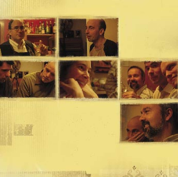





**PLINING CENT** 





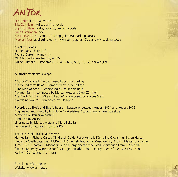# **ANTOR**

Nils Nolte flute, lead vocals Elke Zörntlein fiddle, backing vocals Siggi Zörntlein fiddle, viola (5), backing vocals Greg Ostermann box Klaus Feketics bouzouki, 12-string guitar (9), backing vocals Marcus Metz steel-string guitar, nylon-string guitar (5), piano (4), backing vocals

guest musicians: Harriet Earis – harp (12) Richard Carter – piano (11) Olli Glassl – fretless bass (3, 9, 12) Guido Plüschke – bodhrán (1, 2, 4, 5, 6, 7, 8, 9, 10, 12), shaker (12)

All tracks traditional except:

"Dusty Windowsills" – composed by Johnny Harling "Larry Redican's Bow" – composed by Larry Redican "The Man of Aran" – composed by Darach de Brún "Winter Sun" – composed by Marcus Metz and Siggi Zörntlein "Lá Fliuch Fómhair i nGleann Leithín" – composed by Marcus Metz "Wedding Waltz" – composed by Nils Nolte

Recorded at Elke's and Siggi's house in Lörzweiler between August 2004 and August 2005 Engineered and mixed by Nils Nolte / Nakedstreet Studios, www.nakedstreet.de Mastered by Pauler Acoustics Produced by An Tor Liner notes by Marcus Metz and Klaus Feketics Design and photography by Julia Kühn

#### Thanks / Dank / Buíochas / Merci:

Harriet Earis, Richard Carter, Olli Glassl, Guido Plüschke, Julia Kühn, Eva Giovannini, Karen Hessas, Raidió na Gaeltachta, Joan McDermott (The Irish Traditional Music Archiv, Dublin), Marcas Ó Murchú, Jürgen Gier, Gearóid Ó Maonaigh and the organisers of the Scoil Gheimhridh Frankie Kennedy (Frankie Kennedy Winter School), George Carruthers and the organisers of the RVIA Feis Cheoil, Kathryn O'Shea and flirtfm.org

E-mail: eolas@an-tor.de Website: www.an-tor.de